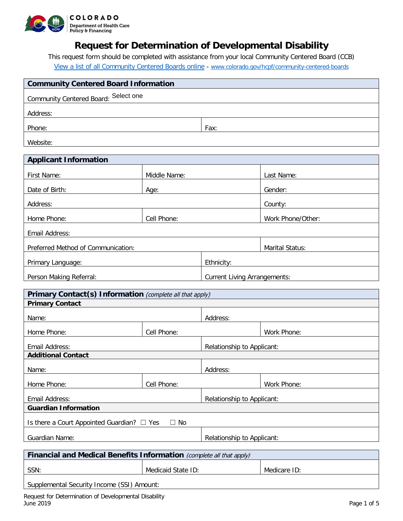

# **Request for Determination of Developmental Disability**

This request form should be completed with assistance from your local Community Centered Board (CCB) [View a list of all Community Centered Boards online](https://www.colorado.gov/pacific/hcpf/community-centered-boards) - [www.colorado.gov/hcpf/community-centered-boards](http://www.colorado.gov/hcpf/community-centered-boards)

| <b>Community Centered Board Information</b>                          |                                     |                            |                   |  |
|----------------------------------------------------------------------|-------------------------------------|----------------------------|-------------------|--|
| Community Centered Board: Select one                                 |                                     |                            |                   |  |
|                                                                      |                                     |                            |                   |  |
| Address:                                                             |                                     |                            |                   |  |
| Phone:                                                               |                                     | Fax:                       |                   |  |
| Website:                                                             |                                     |                            |                   |  |
| <b>Applicant Information</b>                                         |                                     |                            |                   |  |
| First Name:                                                          | Middle Name:                        |                            | Last Name:        |  |
| Date of Birth:                                                       | Age:                                |                            | Gender:           |  |
| Address:                                                             |                                     |                            | County:           |  |
| Home Phone:                                                          | Cell Phone:                         |                            | Work Phone/Other: |  |
| Email Address:                                                       |                                     |                            |                   |  |
| Preferred Method of Communication:                                   |                                     |                            | Marital Status:   |  |
| Primary Language:                                                    |                                     | Ethnicity:                 |                   |  |
| Person Making Referral:                                              | <b>Current Living Arrangements:</b> |                            |                   |  |
| Primary Contact(s) Information (complete all that apply)             |                                     |                            |                   |  |
| <b>Primary Contact</b>                                               |                                     |                            |                   |  |
| Name:                                                                |                                     | Address:                   |                   |  |
| Home Phone:                                                          | Cell Phone:                         |                            | Work Phone:       |  |
| Email Address:                                                       | Relationship to Applicant:          |                            |                   |  |
| <b>Additional Contact</b>                                            |                                     |                            |                   |  |
| Name:                                                                |                                     | Address:                   |                   |  |
| Home Phone:                                                          | Cell Phone:                         |                            | Work Phone:       |  |
| Email Address:                                                       | Relationship to Applicant:          |                            |                   |  |
| <b>Guardian Information</b>                                          |                                     |                            |                   |  |
| Is there a Court Appointed Guardian? □ Yes<br>$\Box$ No              |                                     |                            |                   |  |
| Guardian Name:                                                       |                                     | Relationship to Applicant: |                   |  |
| Financial and Medical Benefits Information (complete all that apply) |                                     |                            |                   |  |
| SSN:                                                                 | Medicaid State ID:                  |                            | Medicare ID:      |  |

Supplemental Security Income (SSI) Amount: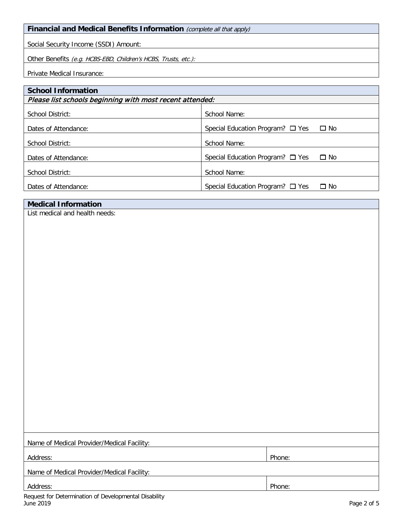### **Financial and Medical Benefits Information** (complete all that apply)

Social Security Income (SSDI) Amount:

Other Benefits (e.g. HCBS-EBD, Children's HCBS, Trusts, etc.):

Private Medical Insurance:

| <b>School Information</b>                                |                                                    |  |  |  |
|----------------------------------------------------------|----------------------------------------------------|--|--|--|
| Please list schools beginning with most recent attended: |                                                    |  |  |  |
| School District:                                         | School Name:                                       |  |  |  |
| Dates of Attendance:                                     | Special Education Program? $\Box$ Yes<br>$\Box$ No |  |  |  |
| School District:                                         | School Name:                                       |  |  |  |
| Dates of Attendance:                                     | Special Education Program? $\Box$ Yes<br>$\Box$ No |  |  |  |
| School District:                                         | School Name:                                       |  |  |  |
| Dates of Attendance:                                     | Special Education Program? $\Box$ Yes<br>$\Box$ No |  |  |  |

| <b>Medical Information</b> |
|----------------------------|
|----------------------------|

List medical and health needs:

| Name of Medical Provider/Medical Facility: |        |  |
|--------------------------------------------|--------|--|
|                                            |        |  |
| Address:                                   | Phone: |  |
|                                            |        |  |
| Name of Medical Provider/Medical Facility: |        |  |
|                                            |        |  |
| Address:                                   | Phone: |  |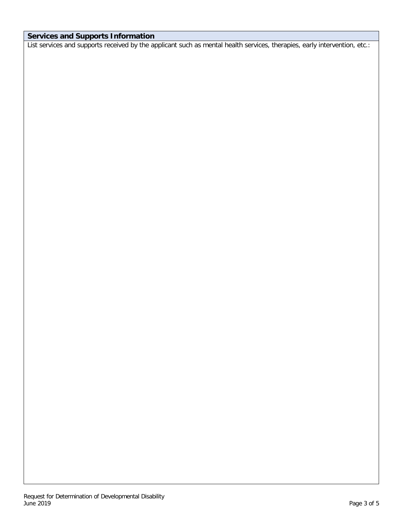### **Services and Supports Information**

List services and supports received by the applicant such as mental health services, therapies, early intervention, etc.: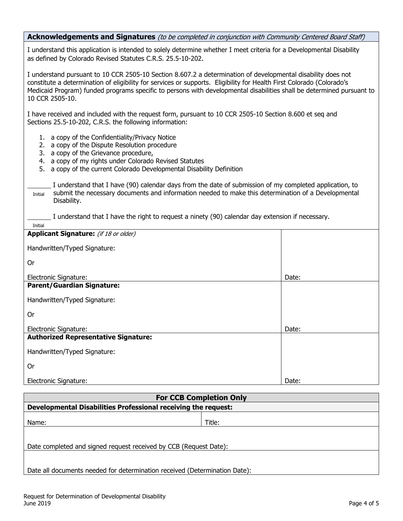#### **Acknowledgements and Signatures** (to be completed in conjunction with Community Centered Board Staff)

I understand this application is intended to solely determine whether I meet criteria for a Developmental Disability as defined by Colorado Revised Statutes C.R.S. 25.5-10-202.

I understand pursuant to 10 CCR 2505-10 Section 8.607.2 a determination of developmental disability does not constitute a determination of eligibility for services or supports. Eligibility for Health First Colorado (Colorado's Medicaid Program) funded programs specific to persons with developmental disabilities shall be determined pursuant to 10 CCR 2505-10.

I have received and included with the request form, pursuant to 10 CCR 2505-10 Section 8.600 et seq and Sections 25.5-10-202, C.R.S. the following information:

- 1. a copy of the Confidentiality/Privacy Notice
- 2. a copy of the Dispute Resolution procedure
- 3. a copy of the Grievance procedure,

Initial

- 4. a copy of my rights under Colorado Revised Statutes
- 5. a copy of the current Colorado Developmental Disability Definition

 I understand that I have (90) calendar days from the date of submission of my completed application, to submit the necessary documents and information needed to make this determination of a Developmental Disability. Initial

I understand that I have the right to request a ninety (90) calendar day extension if necessary.

| 11 II LIGI                                  |       |
|---------------------------------------------|-------|
| Applicant Signature: (if 18 or older)       |       |
| Handwritten/Typed Signature:                |       |
| <b>Or</b>                                   |       |
| Electronic Signature:                       | Date: |
| <b>Parent/Guardian Signature:</b>           |       |
| Handwritten/Typed Signature:                |       |
| <b>Or</b>                                   |       |
| Electronic Signature:                       | Date: |
| <b>Authorized Representative Signature:</b> |       |
| Handwritten/Typed Signature:                |       |
| 0r                                          |       |
| Electronic Signature:                       | Date: |

| <b>For CCB Completion Only</b>                                             |        |  |  |
|----------------------------------------------------------------------------|--------|--|--|
| Developmental Disabilities Professional receiving the request:             |        |  |  |
| Name:                                                                      | Title: |  |  |
| Date completed and signed request received by CCB (Request Date):          |        |  |  |
| Date all documents needed for determination received (Determination Date): |        |  |  |